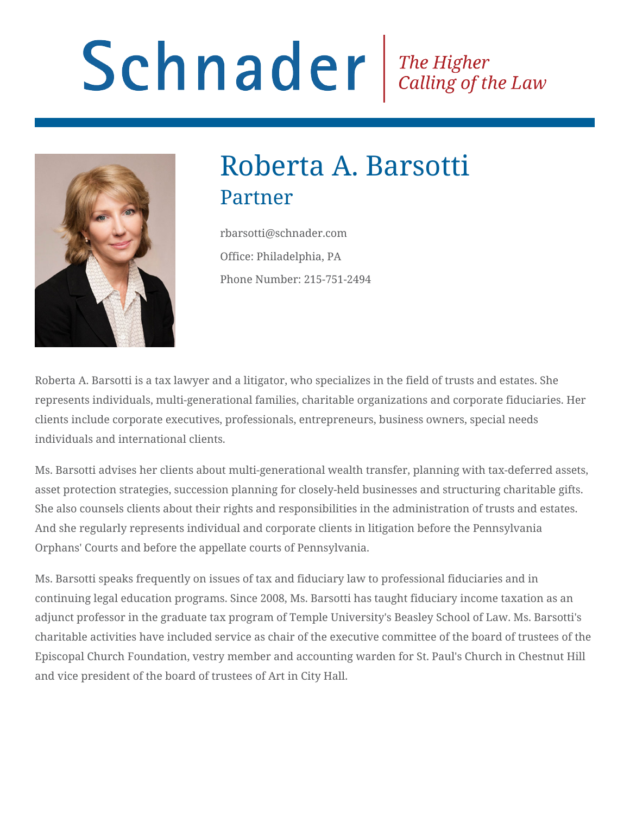# Schnader Fine Higher Calling of the Law



# Roberta A. Barsotti Partner

rbarsotti@schnader.com Office: Philadelphia, PA Phone Number: 215-751-2494

Roberta A. Barsotti is a tax lawyer and a litigator, who specializes in the field of trusts and estates. She represents individuals, multi-generational families, charitable organizations and corporate fiduciaries. Her clients include corporate executives, professionals, entrepreneurs, business owners, special needs individuals and international clients.

Ms. Barsotti advises her clients about multi-generational wealth transfer, planning with tax-deferred assets, asset protection strategies, succession planning for closely-held businesses and structuring charitable gifts. She also counsels clients about their rights and responsibilities in the administration of trusts and estates. And she regularly represents individual and corporate clients in litigation before the Pennsylvania Orphans' Courts and before the appellate courts of Pennsylvania.

Ms. Barsotti speaks frequently on issues of tax and fiduciary law to professional fiduciaries and in continuing legal education programs. Since 2008, Ms. Barsotti has taught fiduciary income taxation as an adjunct professor in the graduate tax program of Temple University's Beasley School of Law. Ms. Barsotti's charitable activities have included service as chair of the executive committee of the board of trustees of the Episcopal Church Foundation, vestry member and accounting warden for St. Paul's Church in Chestnut Hill and vice president of the board of trustees of Art in City Hall.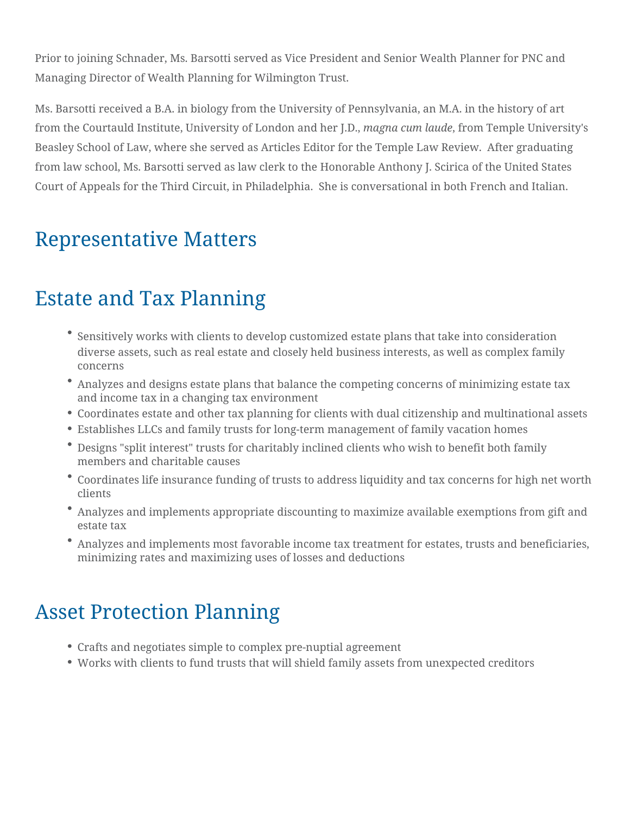Prior to joining Schnader, Ms. Barsotti served as Vice President and Senior Wealth Planner for PNC and Managing Director of Wealth Planning for Wilmington Trust.

Ms. Barsotti received a B.A. in biology from the University of Pennsylvania, an M.A. in the history of art from the Courtauld Institute, University of London and her J.D., *magna cum laude*, from Temple University's Beasley School of Law, where she served as Articles Editor for the Temple Law Review. After graduating from law school, Ms. Barsotti served as law clerk to the Honorable Anthony J. Scirica of the United States Court of Appeals for the Third Circuit, in Philadelphia. She is conversational in both French and Italian.

#### Representative Matters

#### Estate and Tax Planning

- Sensitively works with clients to develop customized estate plans that take into consideration diverse assets, such as real estate and closely held business interests, as well as complex family concerns
- Analyzes and designs estate plans that balance the competing concerns of minimizing estate tax and income tax in a changing tax environment
- Coordinates estate and other tax planning for clients with dual citizenship and multinational assets
- Establishes LLCs and family trusts for long-term management of family vacation homes
- Designs "split interest" trusts for charitably inclined clients who wish to benefit both family members and charitable causes
- Coordinates life insurance funding of trusts to address liquidity and tax concerns for high net worth clients
- Analyzes and implements appropriate discounting to maximize available exemptions from gift and estate tax
- Analyzes and implements most favorable income tax treatment for estates, trusts and beneficiaries, minimizing rates and maximizing uses of losses and deductions

#### Asset Protection Planning

- Crafts and negotiates simple to complex pre-nuptial agreement
- Works with clients to fund trusts that will shield family assets from unexpected creditors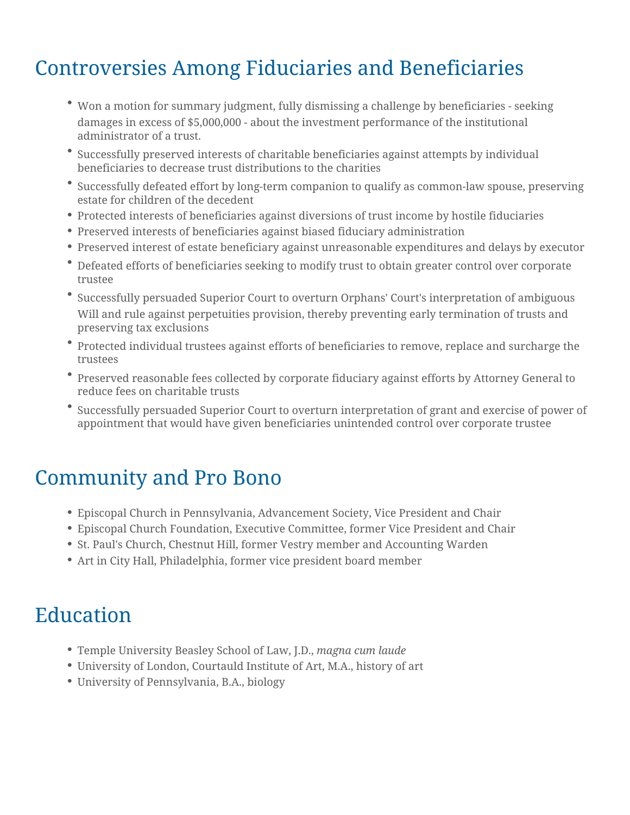#### Controversies Among Fiduciaries and Beneficiaries

- Won a motion for summary judgment, fully dismissing a challenge by beneficiaries seeking damages in excess of \$5,000,000 - about the investment performance of the institutional administrator of a trust.
- Successfully preserved interests of charitable beneficiaries against attempts by individual beneficiaries to decrease trust distributions to the charities
- Successfully defeated effort by long-term companion to qualify as common-law spouse, preserving estate for children of the decedent
- Protected interests of beneficiaries against diversions of trust income by hostile fiduciaries
- Preserved interests of beneficiaries against biased fiduciary administration
- Preserved interest of estate beneficiary against unreasonable expenditures and delays by executor
- Defeated efforts of beneficiaries seeking to modify trust to obtain greater control over corporate trustee
- Successfully persuaded Superior Court to overturn Orphans' Court's interpretation of ambiguous Will and rule against perpetuities provision, thereby preventing early termination of trusts and preserving tax exclusions
- Protected individual trustees against efforts of beneficiaries to remove, replace and surcharge the trustees
- Preserved reasonable fees collected by corporate fiduciary against efforts by Attorney General to reduce fees on charitable trusts
- Successfully persuaded Superior Court to overturn interpretation of grant and exercise of power of appointment that would have given beneficiaries unintended control over corporate trustee

#### Community and Pro Bono

- Episcopal Church in Pennsylvania, Advancement Society, Vice President and Chair
- Episcopal Church Foundation, Executive Committee, former Vice President and Chair
- St. Paul's Church, Chestnut Hill, former Vestry member and Accounting Warden
- Art in City Hall, Philadelphia, former vice president board member

#### Education

- Temple University Beasley School of Law, J.D., *magna cum laude*
- University of London, Courtauld Institute of Art, M.A., history of art
- University of Pennsylvania, B.A., biology